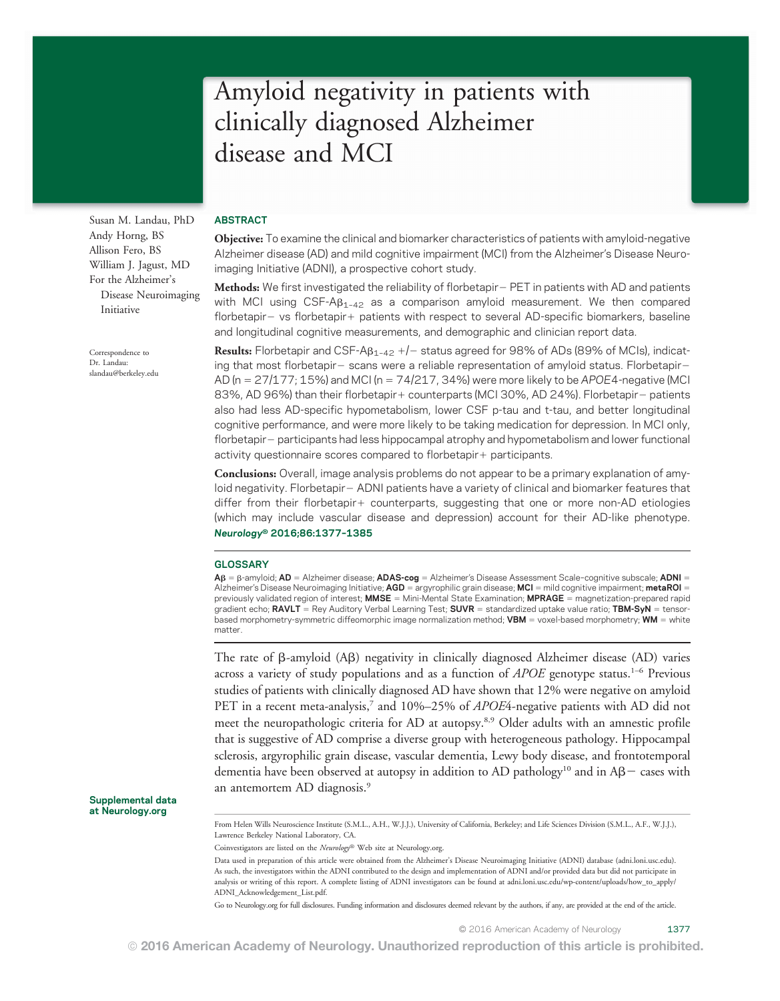# Amyloid negativity in patients with clinically diagnosed Alzheimer disease and MCI

Susan M. Landau, PhD Andy Horng, BS Allison Fero, BS William J. Jagust, MD For the Alzheimer's Disease Neuroimaging Initiative

Correspondence to Dr. Landau: [slandau@berkeley.edu](mailto:slandau@berkeley.edu)

### ABSTRACT

Objective: To examine the clinical and biomarker characteristics of patients with amyloid-negative Alzheimer disease (AD) and mild cognitive impairment (MCI) from the Alzheimer's Disease Neuroimaging Initiative (ADNI), a prospective cohort study.

Methods: We first investigated the reliability of florbetapir – PET in patients with AD and patients with MCI using  $CSF-AB<sub>1-42</sub>$  as a comparison amyloid measurement. We then compared florbetapir- vs florbetapir+ patients with respect to several AD-specific biomarkers, baseline and longitudinal cognitive measurements, and demographic and clinician report data.

**Results:** Florbetapir and CSF-A $B_{1-42}$  +/- status agreed for 98% of ADs (89% of MCIs), indicating that most florbetapir- scans were a reliable representation of amyloid status. Florbetapir-AD ( $n = 27/177$ ; 15%) and MCI ( $n = 74/217$ , 34%) were more likely to be APOE4-negative (MCI 83%, AD 96%) than their florbetapir+ counterparts (MCI 30%, AD 24%). Florbetapir- patients also had less AD-specific hypometabolism, lower CSF p-tau and t-tau, and better longitudinal cognitive performance, and were more likely to be taking medication for depression. In MCI only, florbetapir – participants had less hippocampal atrophy and hypometabolism and lower functional activity questionnaire scores compared to florbetapir + participants.

Conclusions: Overall, image analysis problems do not appear to be a primary explanation of amyloid negativity. Florbetapir- ADNI patients have a variety of clinical and biomarker features that differ from their florbetapir  $+$  counterparts, suggesting that one or more non-AD etiologies (which may include vascular disease and depression) account for their AD-like phenotype. Neurology® 2016;86:1377–<sup>1385</sup>

#### **GLOSSARY**

 $AB = \beta$ -amyloid; AD = Alzheimer disease; ADAS-cog = Alzheimer's Disease Assessment Scale-cognitive subscale; ADNI = Alzheimer's Disease Neuroimaging Initiative; AGD = argyrophilic grain disease; MCI = mild cognitive impairment; metaROI = previously validated region of interest; **MMSE** = Mini-Mental State Examination; **MPRAGE** = magnetization-prepared rapid gradient echo; RAVLT = Rey Auditory Verbal Learning Test; SUVR = standardized uptake value ratio; TBM-SyN = tensorbased morphometry-symmetric diffeomorphic image normalization method; **VBM** = voxel-based morphometry; **WM** = white matter.

The rate of  $\beta$ -amyloid (A $\beta$ ) negativity in clinically diagnosed Alzheimer disease (AD) varies across a variety of study populations and as a function of  $APOE$  genotype status.<sup>1-6</sup> Previous studies of patients with clinically diagnosed AD have shown that 12% were negative on amyloid PET in a recent meta-analysis,<sup>7</sup> and 10%–25% of *APOE*4-negative patients with AD did not meet the neuropathologic criteria for AD at autopsy.8,9 Older adults with an amnestic profile that is suggestive of AD comprise a diverse group with heterogeneous pathology. Hippocampal sclerosis, argyrophilic grain disease, vascular dementia, Lewy body disease, and frontotemporal dementia have been observed at autopsy in addition to AD pathology<sup>10</sup> and in  $A\beta$  - cases with an antemortem AD diagnosis.<sup>9</sup>

Supplemental data at [Neurology.org](http://neurology.org/lookup/doi/10.1212/WNL.0000000000002576)

> From Helen Wills Neuroscience Institute (S.M.L., A.H., W.J.J.), University of California, Berkeley; and Life Sciences Division (S.M.L., A.F., W.J.J.), Lawrence Berkeley National Laboratory, CA.

Coinvestigators are listed on the Neurology® Web site at [Neurology.org.](http://neurology.org/lookup/doi/10.1212/WNL.0000000000002576)

Data used in preparation of this article were obtained from the Alzheimer's Disease Neuroimaging Initiative (ADNI) database [\(adni.loni.usc.edu\)](http://adni.loni.usc.edu). As such, the investigators within the ADNI contributed to the design and implementation of ADNI and/or provided data but did not participate in analysis or writing of this report. A complete listing of ADNI investigators can be found at [adni.loni.usc.edu/wp-content/uploads/how\\_to\\_apply/](http://adni.loni.usc.edu/wp-content/uploads/how_to_apply/ADNI_Acknowledgement_List.pdf) [ADNI\\_Acknowledgement\\_List.pdf.](http://adni.loni.usc.edu/wp-content/uploads/how_to_apply/ADNI_Acknowledgement_List.pdf)

Go to [Neurology.org](http://neurology.org/lookup/doi/10.1212/WNL.0000000000002576) for full disclosures. Funding information and disclosures deemed relevant by the authors, if any, are provided at the end of the article.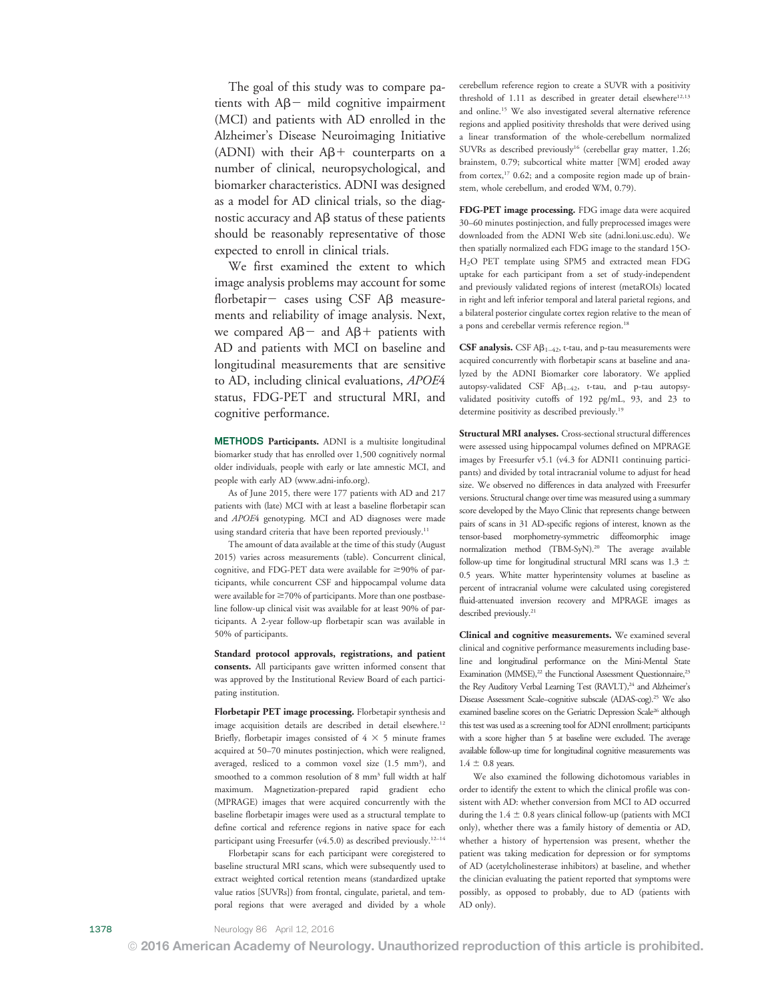The goal of this study was to compare patients with  $A\beta$  mild cognitive impairment (MCI) and patients with AD enrolled in the Alzheimer's Disease Neuroimaging Initiative (ADNI) with their  $A\beta$ + counterparts on a number of clinical, neuropsychological, and biomarker characteristics. ADNI was designed as a model for AD clinical trials, so the diagnostic accuracy and  $\overrightarrow{AB}$  status of these patients should be reasonably representative of those expected to enroll in clinical trials.

We first examined the extent to which image analysis problems may account for some florbetapir- cases using  $CSF$  A $\beta$  measurements and reliability of image analysis. Next, we compared  $A\beta$  and  $A\beta$  + patients with AD and patients with MCI on baseline and longitudinal measurements that are sensitive to AD, including clinical evaluations, APOE4 status, FDG-PET and structural MRI, and cognitive performance.

METHODS Participants. ADNI is a multisite longitudinal biomarker study that has enrolled over 1,500 cognitively normal older individuals, people with early or late amnestic MCI, and people with early AD [\(www.adni-info.org\)](http://www.adni-info.org).

As of June 2015, there were 177 patients with AD and 217 patients with (late) MCI with at least a baseline florbetapir scan and APOE4 genotyping. MCI and AD diagnoses were made using standard criteria that have been reported previously.<sup>11</sup>

The amount of data available at the time of this study (August 2015) varies across measurements (table). Concurrent clinical, cognitive, and FDG-PET data were available for  $\geq$ 90% of participants, while concurrent CSF and hippocampal volume data were available for  $\geq$  70% of participants. More than one postbaseline follow-up clinical visit was available for at least 90% of participants. A 2-year follow-up florbetapir scan was available in 50% of participants.

Standard protocol approvals, registrations, and patient consents. All participants gave written informed consent that was approved by the Institutional Review Board of each participating institution.

Florbetapir PET image processing. Florbetapir synthesis and image acquisition details are described in detail elsewhere.<sup>12</sup> Briefly, florbetapir images consisted of  $4 \times 5$  minute frames acquired at 50–70 minutes postinjection, which were realigned, averaged, resliced to a common voxel size (1.5 mm<sup>3</sup>), and smoothed to a common resolution of 8 mm3 full width at half maximum. Magnetization-prepared rapid gradient echo (MPRAGE) images that were acquired concurrently with the baseline florbetapir images were used as a structural template to define cortical and reference regions in native space for each participant using Freesurfer (v4.5.0) as described previously.<sup>12-14</sup>

Florbetapir scans for each participant were coregistered to baseline structural MRI scans, which were subsequently used to extract weighted cortical retention means (standardized uptake value ratios [SUVRs]) from frontal, cingulate, parietal, and temporal regions that were averaged and divided by a whole cerebellum reference region to create a SUVR with a positivity threshold of  $1.11$  as described in greater detail elsewhere<sup>12,13</sup> and online.15 We also investigated several alternative reference regions and applied positivity thresholds that were derived using a linear transformation of the whole-cerebellum normalized SUVRs as described previously<sup>16</sup> (cerebellar gray matter, 1.26; brainstem, 0.79; subcortical white matter [WM] eroded away from cortex,<sup>17</sup> 0.62; and a composite region made up of brainstem, whole cerebellum, and eroded WM, 0.79).

FDG-PET image processing. FDG image data were acquired 30–60 minutes postinjection, and fully preprocessed images were downloaded from the ADNI Web site [\(adni.loni.usc.edu](http://adni.loni.usc.edu)). We then spatially normalized each FDG image to the standard 15O-H2O PET template using SPM5 and extracted mean FDG uptake for each participant from a set of study-independent and previously validated regions of interest (metaROIs) located in right and left inferior temporal and lateral parietal regions, and a bilateral posterior cingulate cortex region relative to the mean of a pons and cerebellar vermis reference region.<sup>18</sup>

CSF analysis. CSF  $\mathsf{AB}_{1-42}$ , t-tau, and p-tau measurements were acquired concurrently with florbetapir scans at baseline and analyzed by the ADNI Biomarker core laboratory. We applied autopsy-validated CSF  $A\beta_{1-42}$ , t-tau, and p-tau autopsyvalidated positivity cutoffs of 192 pg/mL, 93, and 23 to determine positivity as described previously.19

Structural MRI analyses. Cross-sectional structural differences were assessed using hippocampal volumes defined on MPRAGE images by Freesurfer v5.1 (v4.3 for ADNI1 continuing participants) and divided by total intracranial volume to adjust for head size. We observed no differences in data analyzed with Freesurfer versions. Structural change over time was measured using a summary score developed by the Mayo Clinic that represents change between pairs of scans in 31 AD-specific regions of interest, known as the tensor-based morphometry-symmetric diffeomorphic image normalization method (TBM-SyN).<sup>20</sup> The average available follow-up time for longitudinal structural MRI scans was 1.3  $\pm$ 0.5 years. White matter hyperintensity volumes at baseline as percent of intracranial volume were calculated using coregistered fluid-attenuated inversion recovery and MPRAGE images as described previously.<sup>21</sup>

Clinical and cognitive measurements. We examined several clinical and cognitive performance measurements including baseline and longitudinal performance on the Mini-Mental State Examination (MMSE),<sup>22</sup> the Functional Assessment Questionnaire,<sup>23</sup> the Rey Auditory Verbal Learning Test (RAVLT),<sup>24</sup> and Alzheimer's Disease Assessment Scale–cognitive subscale (ADAS-cog).25 We also examined baseline scores on the Geriatric Depression Scale<sup>26</sup> although this test was used as a screening tool for ADNI enrollment; participants with a score higher than 5 at baseline were excluded. The average available follow-up time for longitudinal cognitive measurements was  $1.4 \pm 0.8$  years.

We also examined the following dichotomous variables in order to identify the extent to which the clinical profile was consistent with AD: whether conversion from MCI to AD occurred during the  $1.4 \pm 0.8$  years clinical follow-up (patients with MCI only), whether there was a family history of dementia or AD, whether a history of hypertension was present, whether the patient was taking medication for depression or for symptoms of AD (acetylcholinesterase inhibitors) at baseline, and whether the clinician evaluating the patient reported that symptoms were possibly, as opposed to probably, due to AD (patients with AD only).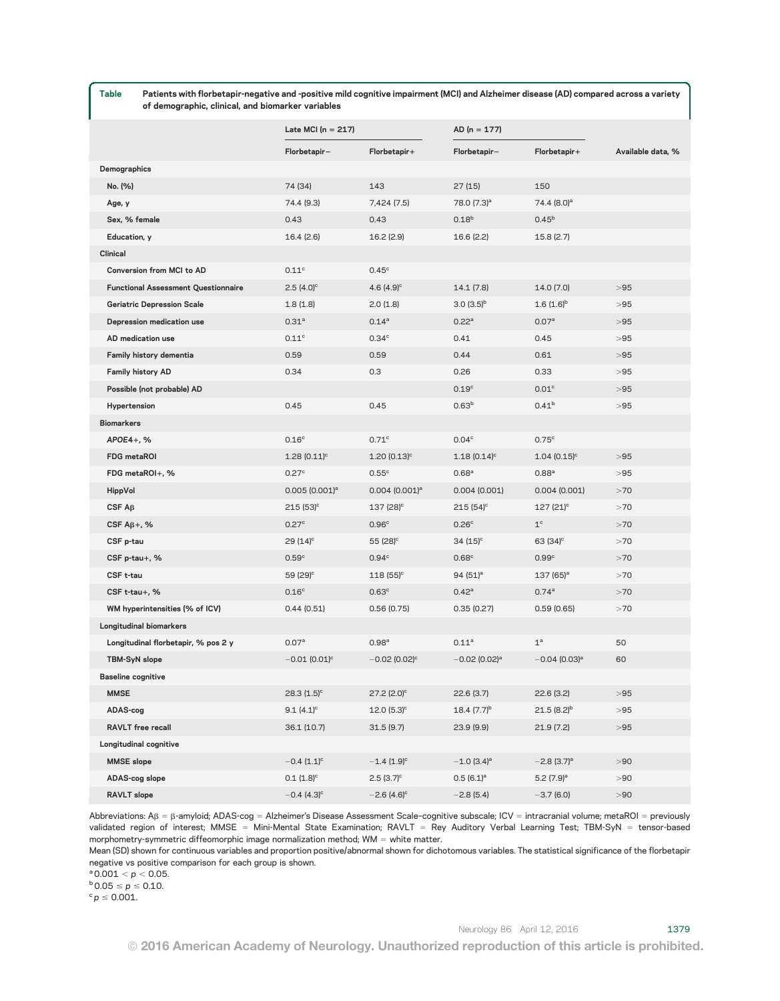| Table<br>Patients with florbetapir-negative and -positive mild cognitive impairment (MCI) and Alzheimer disease (AD) compared across a variety<br>of demographic, clinical, and biomarker variables |                           |                             |                             |                             |                   |
|-----------------------------------------------------------------------------------------------------------------------------------------------------------------------------------------------------|---------------------------|-----------------------------|-----------------------------|-----------------------------|-------------------|
|                                                                                                                                                                                                     |                           | Late MCI ( $n = 217$ )      |                             | $AD (n = 177)$              |                   |
|                                                                                                                                                                                                     | Florbetapir-              | Florbetapir+                | Florbetapir-                | Florbetapir+                | Available data, % |
| Demographics                                                                                                                                                                                        |                           |                             |                             |                             |                   |
| No. (%)                                                                                                                                                                                             | 74 (34)                   | 143                         | 27 (15)                     | 150                         |                   |
| Age, y                                                                                                                                                                                              | 74.4 (9.3)                | 7,424 (7.5)                 | 78.0 (7.3) <sup>a</sup>     | 74.4 (8.0) <sup>a</sup>     |                   |
| Sex, % female                                                                                                                                                                                       | 0.43                      | 0.43                        | 0.18 <sup>b</sup>           | 0.45 <sup>b</sup>           |                   |
| Education, y                                                                                                                                                                                        | 16.4(2.6)                 | 16.2(2.9)                   | 16.6 (2.2)                  | 15.8(2.7)                   |                   |
| <b>Clinical</b>                                                                                                                                                                                     |                           |                             |                             |                             |                   |
| Conversion from MCI to AD                                                                                                                                                                           | 0.11 <sup>c</sup>         | $0.45^{\circ}$              |                             |                             |                   |
| <b>Functional Assessment Questionnaire</b>                                                                                                                                                          | $2.5(4.0)$ <sup>c</sup>   | $4.6(4.9)^c$                | 14.1 (7.8)                  | 14.0 (7.0)                  | >95               |
| <b>Geriatric Depression Scale</b>                                                                                                                                                                   | 1.8(1.8)                  | 2.0(1.8)                    | $(3.0)(3.5)^{b}$            | $1.6(1.6)^{b}$              | >95               |
| Depression medication use                                                                                                                                                                           | 0.31 <sup>a</sup>         | $0.14^{a}$                  | 0.22 <sup>a</sup>           | 0.07 <sup>a</sup>           | >95               |
| AD medication use                                                                                                                                                                                   | 0.11 <sup>c</sup>         | 0.34 <sup>c</sup>           | 0.41                        | 0.45                        | >95               |
| Family history dementia                                                                                                                                                                             | 0.59                      | 0.59                        | 0.44                        | 0.61                        | >95               |
| <b>Family history AD</b>                                                                                                                                                                            | 0.34                      | 0.3                         | 0.26                        | 0.33                        | >95               |
| Possible (not probable) AD                                                                                                                                                                          |                           |                             | 0.19 <sup>c</sup>           | 0.01 <sup>c</sup>           | >95               |
| Hypertension                                                                                                                                                                                        | 0.45                      | 0.45                        | 0.63 <sup>b</sup>           | 0.41 <sup>b</sup>           | >95               |
| Biomarkers                                                                                                                                                                                          |                           |                             |                             |                             |                   |
| APOE4+, %                                                                                                                                                                                           | 0.16 <sup>c</sup>         | $0.71^\circ$                | 0.04 <sup>c</sup>           | 0.75 <sup>c</sup>           |                   |
| FDG metaROI                                                                                                                                                                                         | $1.28(0.11)^c$            | $1.20(0.13)^c$              | $1.18(0.14)^c$              | $1.04~(0.15)^c$             | >95               |
| FDG metaROI+, %                                                                                                                                                                                     | 0.27 <sup>c</sup>         | $0.55^{\circ}$              | 0.68 <sup>a</sup>           | 0.88 <sup>a</sup>           | >95               |
| <b>HippVol</b>                                                                                                                                                                                      | $0.005(0.001)^a$          | $0.004$ $(0.001)^a$         | 0.004(0.001)                | 0.004(0.001)                | >70               |
| CSFAR                                                                                                                                                                                               | $215(53)^{\circ}$         | $137(28)$ <sup>c</sup>      | $215(54)^c$                 | $127(21)^c$                 | >70               |
| CSF $A\beta +$ , %                                                                                                                                                                                  | 0.27 <sup>c</sup>         | 0.96 <sup>c</sup>           | 0.26 <sup>c</sup>           | $1^{\circ}$                 | >70               |
| CSF p-tau                                                                                                                                                                                           | $29(14)^{\circ}$          | 55 $(28)^{\circ}$           | $34(15)^{\circ}$            | 63 $(34)^c$                 | >70               |
| CSF p-tau+, %                                                                                                                                                                                       | 0.59 <sup>c</sup>         | 0.94 <sup>c</sup>           | 0.68 <sup>c</sup>           | 0.99 <sup>c</sup>           | >70               |
| CSF t-tau                                                                                                                                                                                           | 59 $(29)^{\circ}$         | $118(55)^{\circ}$           | 94 $(51)^a$                 | $137(65)^a$                 | >70               |
| CSF t-tau+, %                                                                                                                                                                                       | 0.16 <sup>c</sup>         | 0.63 <sup>c</sup>           | $0.42^{\circ}$              | 0.74 <sup>a</sup>           | >70               |
| WM hyperintensities (% of ICV)                                                                                                                                                                      | 0.44(0.51)                | 0.56(0.75)                  | 0.35(0.27)                  | 0.59(0.65)                  | >70               |
| Longitudinal biomarkers                                                                                                                                                                             |                           |                             |                             |                             |                   |
| Longitudinal florbetapir, % pos 2 y                                                                                                                                                                 | 0.07 <sup>a</sup>         | 0.98 <sup>a</sup>           | 0.11 <sup>a</sup>           | $1^a$                       | 50                |
| <b>TBM-SyN</b> slope                                                                                                                                                                                | $-0.01(0.01)^c$           | $-0.02$ (0.02) <sup>c</sup> | $-0.02$ (0.02) <sup>a</sup> | $-0.04$ (0.03) <sup>a</sup> | 60                |
| <b>Baseline cognitive</b>                                                                                                                                                                           |                           |                             |                             |                             |                   |
| <b>MMSE</b>                                                                                                                                                                                         | $28.3(1.5)^c$             | $27.2$ (2.0) <sup>c</sup>   | 22.6(3.7)                   | 22.6(3.2)                   | >95               |
| ADAS-cog                                                                                                                                                                                            | $9.1(4.1)^c$              | $12.0(5.3)^c$               | $18.4 (7.7)^{b}$            | $21.5(8.2)^{b}$             | >95               |
| RAVLT free recall                                                                                                                                                                                   | 36.1 (10.7)               | 31.5(9.7)                   | 23.9(9.9)                   | 21.9(7.2)                   | >95               |
| Longitudinal cognitive                                                                                                                                                                              |                           |                             |                             |                             |                   |
| <b>MMSE</b> slope                                                                                                                                                                                   | $-0.4$ (1.1) <sup>c</sup> | $-1.4$ (1.9) <sup>c</sup>   | $-1.0$ (3.4) <sup>a</sup>   | $-2.8$ (3.7) <sup>a</sup>   | >90               |
| ADAS-cog slope                                                                                                                                                                                      | $0.1 (1.8)^c$             | $2.5(3.7)^c$                | $0.5(6.1)^a$                | $5.2 (7.9)^a$               | >90               |
| RAVLT slope                                                                                                                                                                                         | $-0.4(4.3)^{c}$           | $-2.6(4.6)^c$               | $-2.8(5.4)$                 | $-3.7(6.0)$                 | > 90              |

Abbreviations:  $A\beta = \beta$ -amyloid; ADAS-cog = Alzheimer's Disease Assessment Scale-cognitive subscale; ICV = intracranial volume; metaROI = previously validated region of interest; MMSE = Mini-Mental State Examination; RAVLT = Rey Auditory Verbal Learning Test; TBM-SyN = tensor-based morphometry-symmetric diffeomorphic image normalization method;  $WM = white$  matter.

Mean (SD) shown for continuous variables and proportion positive/abnormal shown for dichotomous variables. The statistical significance of the florbetapir negative vs positive comparison for each group is shown.

 $a$  0.001  $<$  p  $<$  0.05.

 $b$  0.05  $\le p \le 0.10$ .

 $c$   $p \leq 0.001$ .

© 2016 American Academy of Neurology. Unauthorized reproduction of this article is prohibited.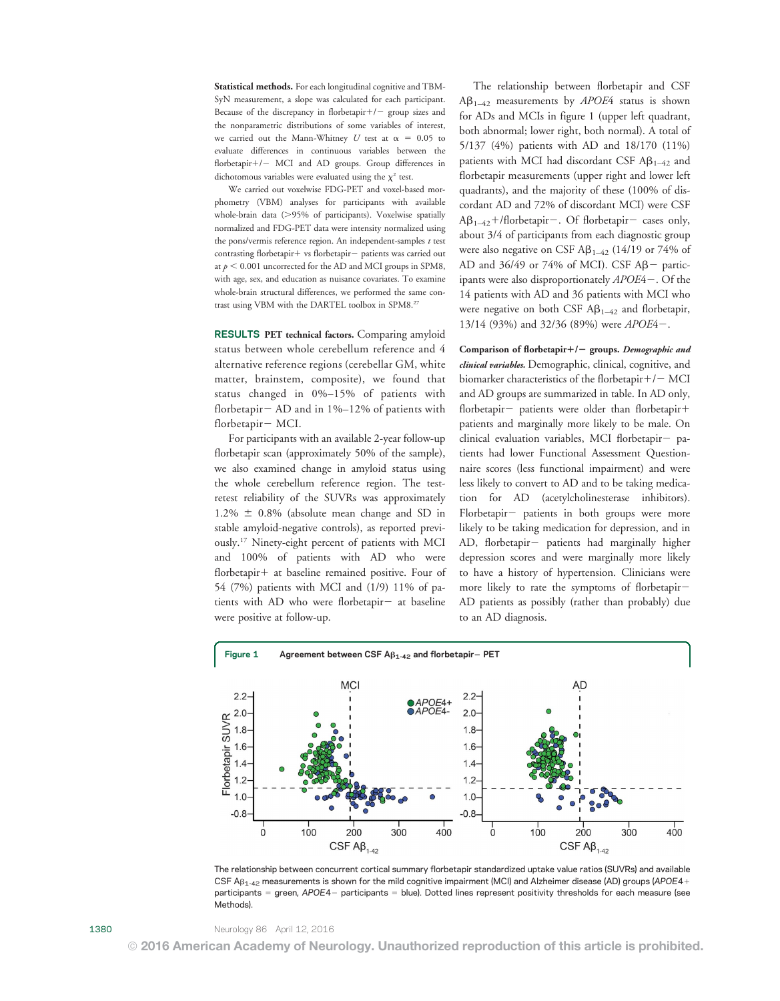Statistical methods. For each longitudinal cognitive and TBM-SyN measurement, a slope was calculated for each participant. Because of the discrepancy in florbetapir $+/-$  group sizes and the nonparametric distributions of some variables of interest, we carried out the Mann-Whitney U test at  $\alpha = 0.05$  to evaluate differences in continuous variables between the florbetapir+/- MCI and AD groups. Group differences in dichotomous variables were evaluated using the  $\chi^2$  test.

We carried out voxelwise FDG-PET and voxel-based morphometry (VBM) analyses for participants with available whole-brain data  $(>\!\!95\!\%$  of participants). Voxelwise spatially normalized and FDG-PET data were intensity normalized using the pons/vermis reference region. An independent-samples  $t$  test contrasting florbetapir+ vs florbetapir- patients was carried out at  $p \leq 0.001$  uncorrected for the AD and MCI groups in SPM8, with age, sex, and education as nuisance covariates. To examine whole-brain structural differences, we performed the same contrast using VBM with the DARTEL toolbox in SPM8.27

RESULTS PET technical factors. Comparing amyloid status between whole cerebellum reference and 4 alternative reference regions (cerebellar GM, white matter, brainstem, composite), we found that status changed in 0%–15% of patients with florbetapir  $-$  AD and in 1%–12% of patients with florbetapir- MCI.

For participants with an available 2-year follow-up florbetapir scan (approximately 50% of the sample), we also examined change in amyloid status using the whole cerebellum reference region. The testretest reliability of the SUVRs was approximately  $1.2\% \pm 0.8\%$  (absolute mean change and SD in stable amyloid-negative controls), as reported previously.17 Ninety-eight percent of patients with MCI and 100% of patients with AD who were florbetapir+ at baseline remained positive. Four of 54 (7%) patients with MCI and (1/9) 11% of patients with AD who were florbetapir $-$  at baseline were positive at follow-up.

The relationship between florbetapir and CSF  $AB_{1-42}$  measurements by *APOE*4 status is shown for ADs and MCIs in figure 1 (upper left quadrant, both abnormal; lower right, both normal). A total of 5/137 (4%) patients with AD and 18/170 (11%) patients with MCI had discordant CSF  $AB_{1-42}$  and florbetapir measurements (upper right and lower left quadrants), and the majority of these (100% of discordant AD and 72% of discordant MCI) were CSF  $A\beta_{1-42}$ +/florbetapir-. Of florbetapir- cases only, about 3/4 of participants from each diagnostic group were also negative on CSF  $\text{AB}_{1-42}$  (14/19 or 74% of AD and  $36/49$  or 74% of MCI). CSF A $\beta$  participants were also disproportionately  $APOE4-$ . Of the 14 patients with AD and 36 patients with MCI who were negative on both CSF  $\mathbf{A}\mathbf{\beta}_{1-42}$  and florbetapir, 13/14 (93%) and 32/36 (89%) were  $APOE4 -$ .

Comparison of florbetapir $+/-$  groups. Demographic and clinical variables. Demographic, clinical, cognitive, and biomarker characteristics of the florbetapir $+/-$  MCI and AD groups are summarized in table. In AD only, florbetapir- patients were older than florbetapir+ patients and marginally more likely to be male. On  $clinical$  evaluation variables, MCI florbetapir- patients had lower Functional Assessment Questionnaire scores (less functional impairment) and were less likely to convert to AD and to be taking medication for AD (acetylcholinesterase inhibitors). Florbetapir- patients in both groups were more likely to be taking medication for depression, and in AD, florbetapir- patients had marginally higher depression scores and were marginally more likely to have a history of hypertension. Clinicians were more likely to rate the symptoms of florbetapir-AD patients as possibly (rather than probably) due to an AD diagnosis.



The relationship between concurrent cortical summary florbetapir standardized uptake value ratios (SUVRs) and available CSF  $AB_{1-42}$  measurements is shown for the mild cognitive impairment (MCI) and Alzheimer disease (AD) groups (APOE4+ participants = green, APOE4- participants = blue). Dotted lines represent positivity thresholds for each measure (see Methods).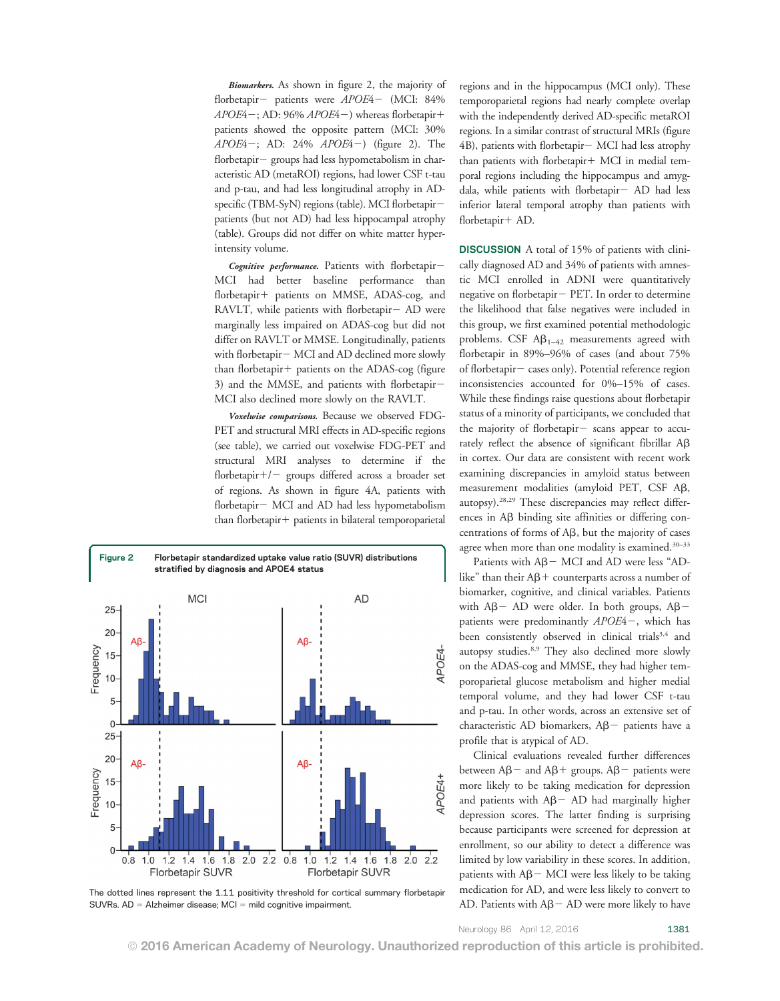Biomarkers. As shown in figure 2, the majority of florbetapir- patients were APOE4- (MCI: 84%  $APOE4$  –; AD: 96%  $APOE4$  –) whereas florbetapir + patients showed the opposite pattern (MCI: 30%  $APOE4-$ ; AD: 24%  $APOE4-$ ) (figure 2). The florbetapir- groups had less hypometabolism in characteristic AD (metaROI) regions, had lower CSF t-tau and p-tau, and had less longitudinal atrophy in ADspecific (TBM-SyN) regions (table). MCI florbetapirpatients (but not AD) had less hippocampal atrophy (table). Groups did not differ on white matter hyperintensity volume.

Cognitive performance. Patients with florbetapir-MCI had better baseline performance than florbetapir+ patients on MMSE, ADAS-cog, and RAVLT, while patients with florbetapir $-$  AD were marginally less impaired on ADAS-cog but did not differ on RAVLT or MMSE. Longitudinally, patients with florbetapir- MCI and AD declined more slowly  $than$  florbetapir  $+$  patients on the ADAS-cog (figure 3) and the MMSE, and patients with florbetapir-MCI also declined more slowly on the RAVLT.

Voxelwise comparisons. Because we observed FDG-PET and structural MRI effects in AD-specific regions (see table), we carried out voxelwise FDG-PET and structural MRI analyses to determine if the florbetapir $+/-$  groups differed across a broader set of regions. As shown in figure 4A, patients with florbetapir- MCI and AD had less hypometabolism  $than$  florbetapir $+$  patients in bilateral temporoparietal



The dotted lines represent the 1.11 positivity threshold for cortical summary florbetapir SUVRs. AD = Alzheimer disease; MCI = mild cognitive impairment.

regions and in the hippocampus (MCI only). These temporoparietal regions had nearly complete overlap with the independently derived AD-specific metaROI regions. In a similar contrast of structural MRIs (figure  $4B$ ), patients with florbetapir  $-$  MCI had less atrophy than patients with florbetapir $+$  MCI in medial temporal regions including the hippocampus and amygdala, while patients with florbetapir- AD had less inferior lateral temporal atrophy than patients with florbetapir+ AD.

DISCUSSION A total of 15% of patients with clinically diagnosed AD and 34% of patients with amnestic MCI enrolled in ADNI were quantitatively negative on florbetapir- PET. In order to determine the likelihood that false negatives were included in this group, we first examined potential methodologic problems. CSF  $\mathsf{A}\beta_{1-42}$  measurements agreed with florbetapir in 89%–96% of cases (and about 75% of florbetapir - cases only). Potential reference region inconsistencies accounted for 0%–15% of cases. While these findings raise questions about florbetapir status of a minority of participants, we concluded that the majority of florbetapir $-$  scans appear to accurately reflect the absence of significant fibrillar  $A\beta$ in cortex. Our data are consistent with recent work examining discrepancies in amyloid status between measurement modalities (amyloid PET, CSF Aß, autopsy).28,29 These discrepancies may reflect differences in  $\text{AB}$  binding site affinities or differing concentrations of forms of  $A\beta$ , but the majority of cases agree when more than one modality is examined.<sup>30-33</sup>

Patients with  $A\beta$  – MCI and AD were less "ADlike" than their  $A\beta$ + counterparts across a number of biomarker, cognitive, and clinical variables. Patients with  $A\beta$  – AD were older. In both groups,  $A\beta$  – patients were predominantly APOE4-, which has been consistently observed in clinical trials<sup>3,4</sup> and autopsy studies.8,9 They also declined more slowly on the ADAS-cog and MMSE, they had higher temporoparietal glucose metabolism and higher medial temporal volume, and they had lower CSF t-tau and p-tau. In other words, across an extensive set of characteristic AD biomarkers,  $A\beta$  - patients have a profile that is atypical of AD.

Clinical evaluations revealed further differences between  $A\beta$  and  $A\beta$  + groups.  $A\beta$  - patients were more likely to be taking medication for depression and patients with  $A\beta - AD$  had marginally higher depression scores. The latter finding is surprising because participants were screened for depression at enrollment, so our ability to detect a difference was limited by low variability in these scores. In addition, patients with  $A\beta$  – MCI were less likely to be taking medication for AD, and were less likely to convert to AD. Patients with  $A\beta$  – AD were more likely to have

Neurology 86 April 12, 2016 1381

© 2016 American Academy of Neurology. Unauthorized reproduction of this article is prohibited.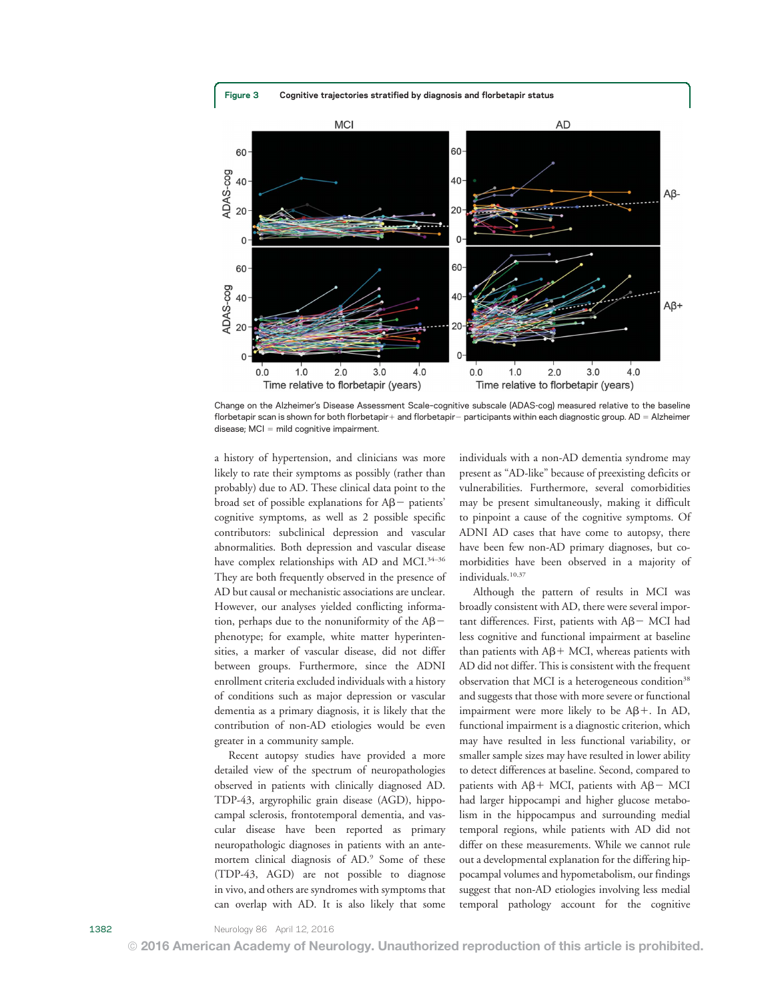

Change on the Alzheimer's Disease Assessment Scale–cognitive subscale (ADAS-cog) measured relative to the baseline florbetapir scan is shown for both florbetapir+ and florbetapir- participants within each diagnostic group. AD = Alzheimer  $disease$ ;  $MCI$  = mild cognitive impairment.

a history of hypertension, and clinicians was more likely to rate their symptoms as possibly (rather than probably) due to AD. These clinical data point to the broad set of possible explanations for  $A\beta$  patients' cognitive symptoms, as well as 2 possible specific contributors: subclinical depression and vascular abnormalities. Both depression and vascular disease have complex relationships with AD and MCI.<sup>34-36</sup> They are both frequently observed in the presence of AD but causal or mechanistic associations are unclear. However, our analyses yielded conflicting information, perhaps due to the nonuniformity of the  $AB$ phenotype; for example, white matter hyperintensities, a marker of vascular disease, did not differ between groups. Furthermore, since the ADNI enrollment criteria excluded individuals with a history of conditions such as major depression or vascular dementia as a primary diagnosis, it is likely that the contribution of non-AD etiologies would be even greater in a community sample.

Recent autopsy studies have provided a more detailed view of the spectrum of neuropathologies observed in patients with clinically diagnosed AD. TDP-43, argyrophilic grain disease (AGD), hippocampal sclerosis, frontotemporal dementia, and vascular disease have been reported as primary neuropathologic diagnoses in patients with an antemortem clinical diagnosis of AD.9 Some of these (TDP-43, AGD) are not possible to diagnose in vivo, and others are syndromes with symptoms that can overlap with AD. It is also likely that some individuals with a non-AD dementia syndrome may present as "AD-like" because of preexisting deficits or vulnerabilities. Furthermore, several comorbidities may be present simultaneously, making it difficult to pinpoint a cause of the cognitive symptoms. Of ADNI AD cases that have come to autopsy, there have been few non-AD primary diagnoses, but comorbidities have been observed in a majority of individuals.<sup>10,37</sup>

Although the pattern of results in MCI was broadly consistent with AD, there were several important differences. First, patients with  $A\beta$  MCI had less cognitive and functional impairment at baseline than patients with  $A\beta$  + MCI, whereas patients with AD did not differ. This is consistent with the frequent observation that MCI is a heterogeneous condition<sup>38</sup> and suggests that those with more severe or functional impairment were more likely to be  $A\beta+$ . In AD, functional impairment is a diagnostic criterion, which may have resulted in less functional variability, or smaller sample sizes may have resulted in lower ability to detect differences at baseline. Second, compared to patients with  $A\beta$ + MCI, patients with  $A\beta$  – MCI had larger hippocampi and higher glucose metabolism in the hippocampus and surrounding medial temporal regions, while patients with AD did not differ on these measurements. While we cannot rule out a developmental explanation for the differing hippocampal volumes and hypometabolism, our findings suggest that non-AD etiologies involving less medial temporal pathology account for the cognitive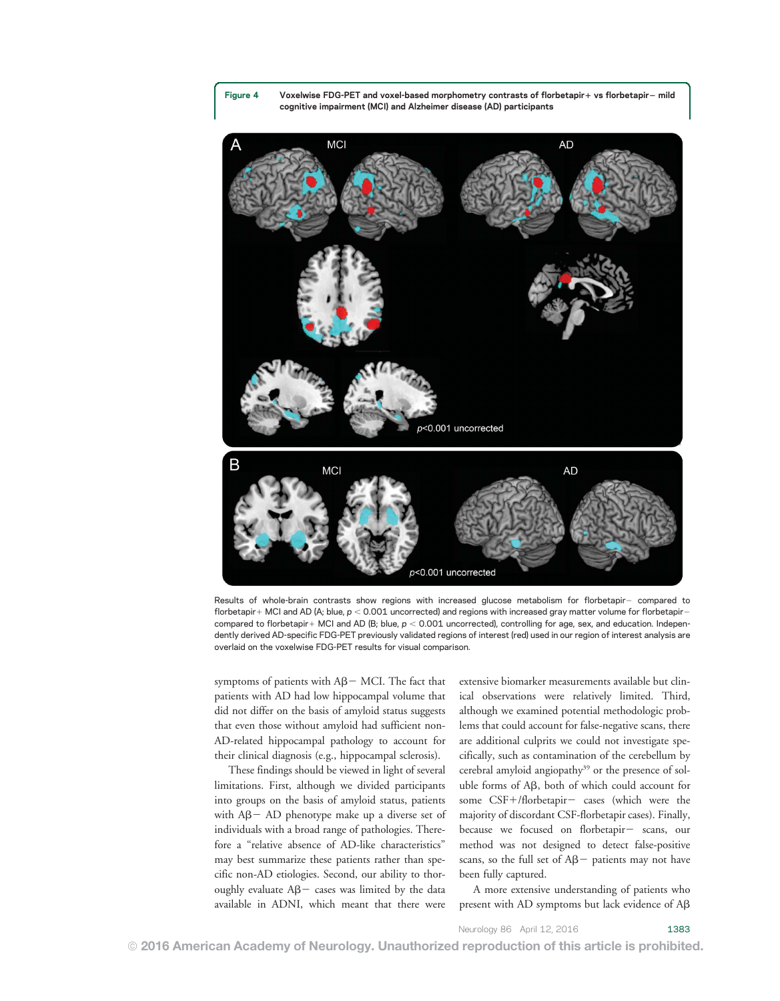Figure 4 Voxelwise FDG-PET and voxel-based morphometry contrasts of florbetapir+ vs florbetapir- mild cognitive impairment (MCI) and Alzheimer disease (AD) participants



Results of whole-brain contrasts show regions with increased glucose metabolism for florbetapir- compared to florbetapir + MCI and AD (A; blue,  $p < 0.001$  uncorrected) and regions with increased gray matter volume for florbetapir compared to florbetapir + MCI and AD (B; blue,  $p < 0.001$  uncorrected), controlling for age, sex, and education. Independently derived AD-specific FDG-PET previously validated regions of interest (red) used in our region of interest analysis are overlaid on the voxelwise FDG-PET results for visual comparison.

symptoms of patients with  $A\beta$  – MCI. The fact that patients with AD had low hippocampal volume that did not differ on the basis of amyloid status suggests that even those without amyloid had sufficient non-AD-related hippocampal pathology to account for their clinical diagnosis (e.g., hippocampal sclerosis).

These findings should be viewed in light of several limitations. First, although we divided participants into groups on the basis of amyloid status, patients with  $A\beta$  – AD phenotype make up a diverse set of individuals with a broad range of pathologies. Therefore a "relative absence of AD-like characteristics" may best summarize these patients rather than specific non-AD etiologies. Second, our ability to thoroughly evaluate  $A\beta$  cases was limited by the data available in ADNI, which meant that there were extensive biomarker measurements available but clinical observations were relatively limited. Third, although we examined potential methodologic problems that could account for false-negative scans, there are additional culprits we could not investigate specifically, such as contamination of the cerebellum by cerebral amyloid angiopathy<sup>39</sup> or the presence of soluble forms of  $\mathbf{A}\mathbf{B}$ , both of which could account for some CSF+/florbetapir- cases (which were the majority of discordant CSF-florbetapir cases). Finally, because we focused on florbetapir- scans, our method was not designed to detect false-positive scans, so the full set of  $A\beta$  patients may not have been fully captured.

A more extensive understanding of patients who present with AD symptoms but lack evidence of  $\text{A}\beta$ 

Neurology 86 April 12, 2016 1383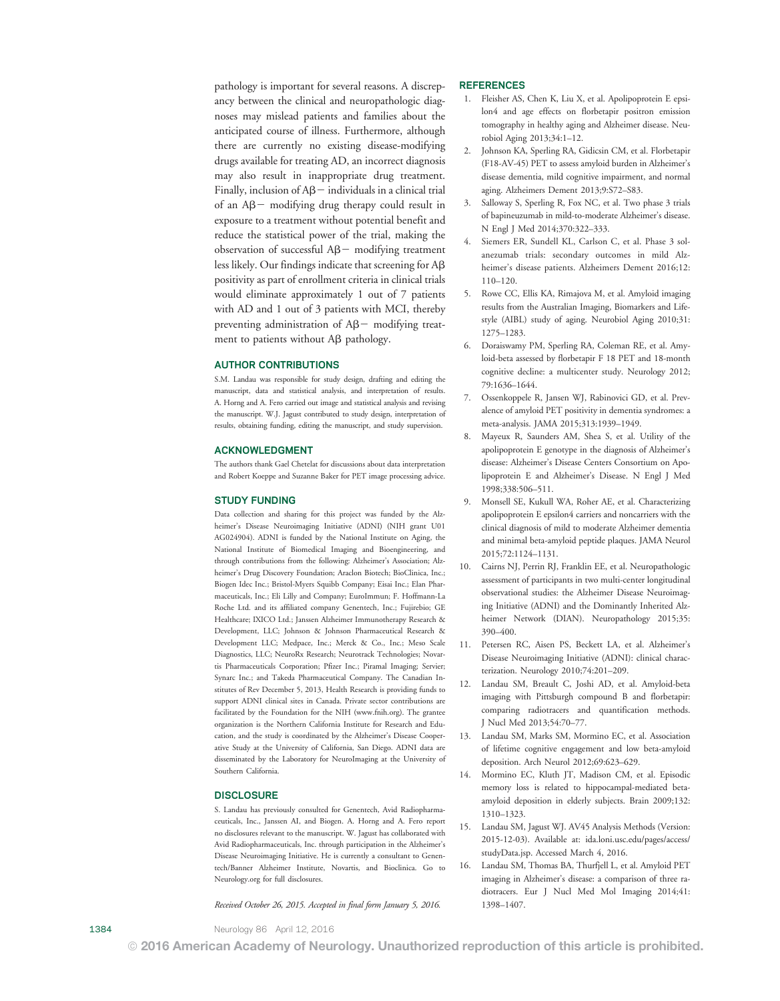pathology is important for several reasons. A discrepancy between the clinical and neuropathologic diagnoses may mislead patients and families about the anticipated course of illness. Furthermore, although there are currently no existing disease-modifying drugs available for treating AD, an incorrect diagnosis may also result in inappropriate drug treatment. Finally, inclusion of  $A\beta$  - individuals in a clinical trial of an  $A\beta$  modifying drug therapy could result in exposure to a treatment without potential benefit and reduce the statistical power of the trial, making the observation of successful  $AB$  modifying treatment less likely. Our findings indicate that screening for  $A\beta$ positivity as part of enrollment criteria in clinical trials would eliminate approximately 1 out of 7 patients with AD and 1 out of 3 patients with MCI, thereby preventing administration of  $A\beta$  modifying treatment to patients without  $\text{A}\beta$  pathology.

#### AUTHOR CONTRIBUTIONS

S.M. Landau was responsible for study design, drafting and editing the manuscript, data and statistical analysis, and interpretation of results. A. Horng and A. Fero carried out image and statistical analysis and revising the manuscript. W.J. Jagust contributed to study design, interpretation of results, obtaining funding, editing the manuscript, and study supervision.

#### ACKNOWLEDGMENT

The authors thank Gael Chetelat for discussions about data interpretation and Robert Koeppe and Suzanne Baker for PET image processing advice.

#### STUDY FUNDING

Data collection and sharing for this project was funded by the Alzheimer's Disease Neuroimaging Initiative (ADNI) (NIH grant U01 AG024904). ADNI is funded by the National Institute on Aging, the National Institute of Biomedical Imaging and Bioengineering, and through contributions from the following: Alzheimer's Association; Alzheimer's Drug Discovery Foundation; Araclon Biotech; BioClinica, Inc.; Biogen Idec Inc.; Bristol-Myers Squibb Company; Eisai Inc.; Elan Pharmaceuticals, Inc.; Eli Lilly and Company; EuroImmun; F. Hoffmann-La Roche Ltd. and its affiliated company Genentech, Inc.; Fujirebio; GE Healthcare; IXICO Ltd.; Janssen Alzheimer Immunotherapy Research & Development, LLC; Johnson & Johnson Pharmaceutical Research & Development LLC; Medpace, Inc.; Merck & Co., Inc.; Meso Scale Diagnostics, LLC; NeuroRx Research; Neurotrack Technologies; Novartis Pharmaceuticals Corporation; Pfizer Inc.; Piramal Imaging; Servier; Synarc Inc.; and Takeda Pharmaceutical Company. The Canadian Institutes of Rev December 5, 2013, Health Research is providing funds to support ADNI clinical sites in Canada. Private sector contributions are facilitated by the Foundation for the NIH [\(www.fnih.org](http://www.fnih.org)). The grantee organization is the Northern California Institute for Research and Education, and the study is coordinated by the Alzheimer's Disease Cooperative Study at the University of California, San Diego. ADNI data are disseminated by the Laboratory for NeuroImaging at the University of Southern California.

#### **DISCLOSURE**

S. Landau has previously consulted for Genentech, Avid Radiopharmaceuticals, Inc., Janssen AI, and Biogen. A. Horng and A. Fero report no disclosures relevant to the manuscript. W. Jagust has collaborated with Avid Radiopharmaceuticals, Inc. through participation in the Alzheimer's Disease Neuroimaging Initiative. He is currently a consultant to Genentech/Banner Alzheimer Institute, Novartis, and Bioclinica. Go to [Neurology.org](http://neurology.org/lookup/doi/10.1212/WNL.0000000000002576) for full disclosures.

#### Received October 26, 2015. Accepted in final form January 5, 2016.

REFERENCES

- 1. Fleisher AS, Chen K, Liu X, et al. Apolipoprotein E epsilon4 and age effects on florbetapir positron emission tomography in healthy aging and Alzheimer disease. Neurobiol Aging 2013;34:1–12.
- 2. Johnson KA, Sperling RA, Gidicsin CM, et al. Florbetapir (F18-AV-45) PET to assess amyloid burden in Alzheimer's disease dementia, mild cognitive impairment, and normal aging. Alzheimers Dement 2013;9:S72–S83.
- 3. Salloway S, Sperling R, Fox NC, et al. Two phase 3 trials of bapineuzumab in mild-to-moderate Alzheimer's disease. N Engl J Med 2014;370:322–333.
- 4. Siemers ER, Sundell KL, Carlson C, et al. Phase 3 solanezumab trials: secondary outcomes in mild Alzheimer's disease patients. Alzheimers Dement 2016;12: 110–120.
- 5. Rowe CC, Ellis KA, Rimajova M, et al. Amyloid imaging results from the Australian Imaging, Biomarkers and Lifestyle (AIBL) study of aging. Neurobiol Aging 2010;31: 1275–1283.
- 6. Doraiswamy PM, Sperling RA, Coleman RE, et al. Amyloid-beta assessed by florbetapir F 18 PET and 18-month cognitive decline: a multicenter study. Neurology 2012; 79:1636–1644.
- 7. Ossenkoppele R, Jansen WJ, Rabinovici GD, et al. Prevalence of amyloid PET positivity in dementia syndromes: a meta-analysis. JAMA 2015;313:1939–1949.
- 8. Mayeux R, Saunders AM, Shea S, et al. Utility of the apolipoprotein E genotype in the diagnosis of Alzheimer's disease: Alzheimer's Disease Centers Consortium on Apolipoprotein E and Alzheimer's Disease. N Engl J Med 1998;338:506–511.
- 9. Monsell SE, Kukull WA, Roher AE, et al. Characterizing apolipoprotein E epsilon4 carriers and noncarriers with the clinical diagnosis of mild to moderate Alzheimer dementia and minimal beta-amyloid peptide plaques. JAMA Neurol 2015;72:1124–1131.
- 10. Cairns NJ, Perrin RJ, Franklin EE, et al. Neuropathologic assessment of participants in two multi-center longitudinal observational studies: the Alzheimer Disease Neuroimaging Initiative (ADNI) and the Dominantly Inherited Alzheimer Network (DIAN). Neuropathology 2015;35: 390–400.
- 11. Petersen RC, Aisen PS, Beckett LA, et al. Alzheimer's Disease Neuroimaging Initiative (ADNI): clinical characterization. Neurology 2010;74:201–209.
- 12. Landau SM, Breault C, Joshi AD, et al. Amyloid-beta imaging with Pittsburgh compound B and florbetapir: comparing radiotracers and quantification methods. J Nucl Med 2013;54:70–77.
- 13. Landau SM, Marks SM, Mormino EC, et al. Association of lifetime cognitive engagement and low beta-amyloid deposition. Arch Neurol 2012;69:623–629.
- 14. Mormino EC, Kluth JT, Madison CM, et al. Episodic memory loss is related to hippocampal-mediated betaamyloid deposition in elderly subjects. Brain 2009;132: 1310–1323.
- 15. Landau SM, Jagust WJ. AV45 Analysis Methods (Version: 2015-12-03). Available at: [ida.loni.usc.edu/pages/access/](http://ida.loni.usc.edu/pages/access/studyData.jsp) [studyData.jsp](http://ida.loni.usc.edu/pages/access/studyData.jsp). Accessed March 4, 2016.
- 16. Landau SM, Thomas BA, Thurfjell L, et al. Amyloid PET imaging in Alzheimer's disease: a comparison of three radiotracers. Eur J Nucl Med Mol Imaging 2014;41: 1398–1407.

1384 Neurology 86 April 12, 2016

© 2016 American Academy of Neurology. Unauthorized reproduction of this article is prohibited.